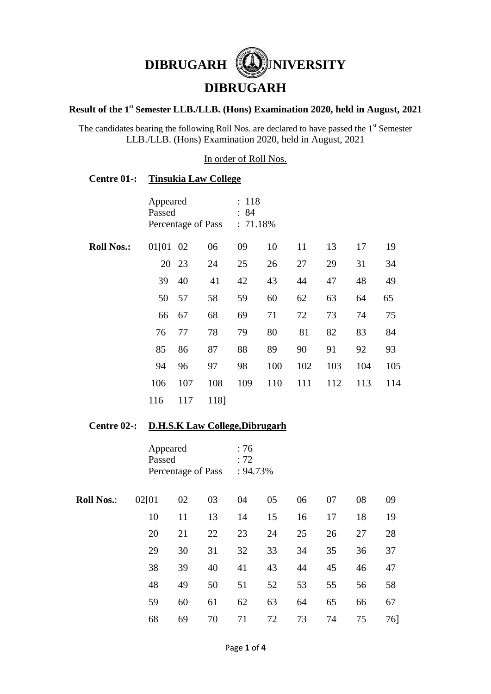

## **DIBRUGARH**

#### **Result of the 1 st Semester LLB./LLB. (Hons) Examination 2020, held in August, 2021**

The candidates bearing the following Roll Nos. are declared to have passed the  $1<sup>st</sup>$  Semester LLB./LLB. (Hons) Examination 2020, held in August, 2021

In order of Roll Nos.

### **Centre 01-: Tinsukia Law College**

|                   | Appeared<br>Passed<br>Percentage of Pass |       |      | : 118<br>: 84<br>$: 71.18\%$ |     |     |     |     |     |  |
|-------------------|------------------------------------------|-------|------|------------------------------|-----|-----|-----|-----|-----|--|
| <b>Roll Nos.:</b> | 01[01 02                                 |       | 06   | 09                           | 10  | 11  | 13  | 17  | 19  |  |
|                   |                                          | 20 23 | 24   | 25                           | 26  | 27  | 29  | 31  | 34  |  |
|                   | 39                                       | 40    | 41   | 42                           | 43  | 44  | 47  | 48  | 49  |  |
|                   | 50                                       | 57    | 58   | 59                           | 60  | 62  | 63  | 64  | 65  |  |
|                   | 66                                       | 67    | 68   | 69                           | 71  | 72  | 73  | 74  | 75  |  |
|                   | 76                                       | 77    | 78   | 79                           | 80  | 81  | 82  | 83  | 84  |  |
|                   | 85                                       | 86    | 87   | 88                           | 89  | 90  | 91  | 92  | 93  |  |
|                   | 94                                       | 96    | 97   | 98                           | 100 | 102 | 103 | 104 | 105 |  |
|                   | 106                                      | 107   | 108  | 109                          | 110 | 111 | 112 | 113 | 114 |  |
|                   | 116                                      | 117   | 1181 |                              |     |     |     |     |     |  |

### **Centre 02-: D.H.S.K Law College,Dibrugarh**

|                   | Appeared<br>Passed<br>Percentage of Pass | :76<br>: 72<br>: 94.73% |    |    |    |    |    |    |     |
|-------------------|------------------------------------------|-------------------------|----|----|----|----|----|----|-----|
| <b>Roll Nos.:</b> | 02[01                                    | 02                      | 03 | 04 | 05 | 06 | 07 | 08 | 09  |
|                   | 10                                       | 11                      | 13 | 14 | 15 | 16 | 17 | 18 | 19  |
|                   | 20                                       | 21                      | 22 | 23 | 24 | 25 | 26 | 27 | 28  |
|                   | 29                                       | 30                      | 31 | 32 | 33 | 34 | 35 | 36 | 37  |
|                   | 38                                       | 39                      | 40 | 41 | 43 | 44 | 45 | 46 | 47  |
|                   | 48                                       | 49                      | 50 | 51 | 52 | 53 | 55 | 56 | 58  |
|                   | 59                                       | 60                      | 61 | 62 | 63 | 64 | 65 | 66 | 67  |
|                   | 68                                       | 69                      | 70 | 71 | 72 | 73 | 74 | 75 | 76] |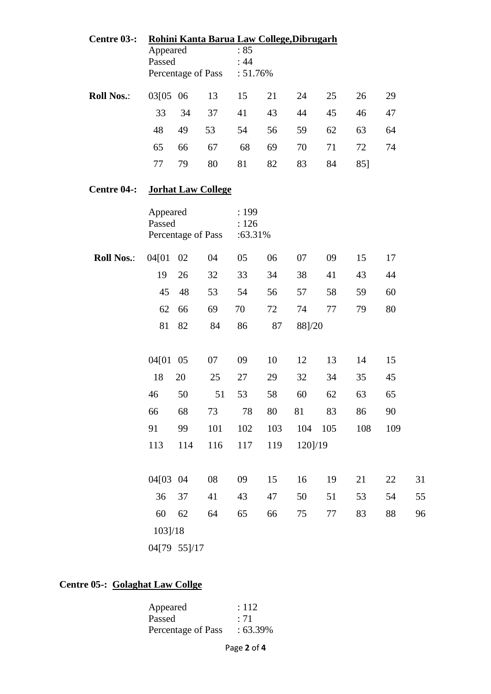| Centre 03-:       | Appeared<br>Passed                       |     |                           | Rohini Kanta Barua Law College, Dibrugarh<br>:85<br>:44 |     |         |     |     |     |    |
|-------------------|------------------------------------------|-----|---------------------------|---------------------------------------------------------|-----|---------|-----|-----|-----|----|
|                   |                                          |     | Percentage of Pass        | : 51.76%                                                |     |         |     |     |     |    |
| <b>Roll Nos.:</b> | 03[05 06                                 |     | 13                        | 15                                                      | 21  | 24      | 25  | 26  | 29  |    |
|                   | 33                                       | 34  | 37                        | 41                                                      | 43  | 44      | 45  | 46  | 47  |    |
|                   | 48                                       | 49  | 53                        | 54                                                      | 56  | 59      | 62  | 63  | 64  |    |
|                   | 65                                       | 66  | 67                        | 68                                                      | 69  | 70      | 71  | 72  | 74  |    |
|                   | 77                                       | 79  | 80                        | 81                                                      | 82  | 83      | 84  | 85] |     |    |
| Centre 04-:       |                                          |     | <b>Jorhat Law College</b> |                                                         |     |         |     |     |     |    |
|                   | Appeared<br>Passed<br>Percentage of Pass |     |                           | : 199<br>: 126<br>:63.31%                               |     |         |     |     |     |    |
| <b>Roll Nos.:</b> | 04[01                                    | 02  | 04                        | 05                                                      | 06  | 07      | 09  | 15  | 17  |    |
|                   | 19                                       | 26  | 32                        | 33                                                      | 34  | 38      | 41  | 43  | 44  |    |
|                   | 45                                       | 48  | 53                        | 54                                                      | 56  | 57      | 58  | 59  | 60  |    |
|                   | 62                                       | 66  | 69                        | 70                                                      | 72  | 74      | 77  | 79  | 80  |    |
|                   | 81                                       | 82  | 84                        | 86                                                      | 87  | 88]/20  |     |     |     |    |
|                   | 04[01 05                                 |     | 07                        | 09                                                      | 10  | 12      | 13  | 14  | 15  |    |
|                   | 18                                       | 20  | 25                        | 27                                                      | 29  | 32      | 34  | 35  | 45  |    |
|                   | 46                                       | 50  | 51                        | 53                                                      | 58  | 60      | 62  | 63  | 65  |    |
|                   | 66                                       | 68  | 73                        | 78                                                      | 80  | 81      | 83  | 86  | 90  |    |
|                   | 91                                       | 99  | 101                       | 102                                                     | 103 | 104     | 105 | 108 | 109 |    |
|                   | 113                                      | 114 | 116                       | 117                                                     | 119 | 120]/19 |     |     |     |    |
|                   | 04[03 04                                 |     | 08                        | 09                                                      | 15  | 16      | 19  | 21  | 22  | 31 |
|                   | 36                                       | 37  | 41                        | 43                                                      | 47  | 50      | 51  | 53  | 54  | 55 |
|                   | 60                                       | 62  | 64                        | 65                                                      | 66  | 75      | 77  | 83  | 88  | 96 |
|                   | 103]/18                                  |     |                           |                                                         |     |         |     |     |     |    |
|                   | 04[79 55]/17                             |     |                           |                                                         |     |         |     |     |     |    |

# **Centre 05-: Golaghat Law Collge**

| Appeared           | : 112      |
|--------------------|------------|
| Passed             | : 71       |
| Percentage of Pass | $:63.39\%$ |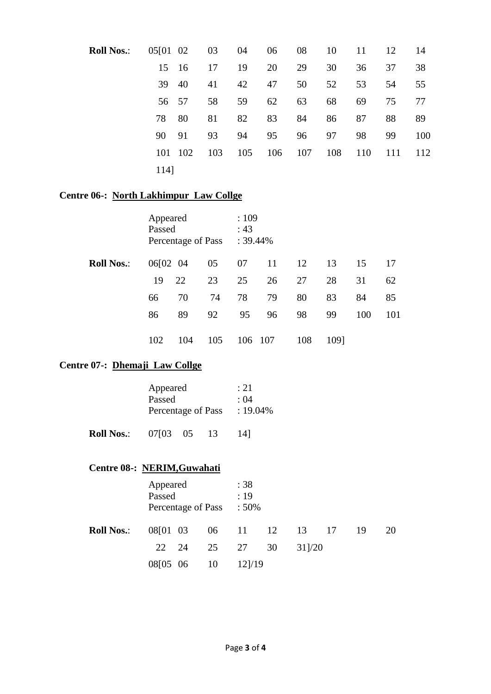| <b>Roll Nos.:</b> | 05[01 02 03 |     |     | 04  | 06  | 08  | 10  | 11  | 12  | 14  |
|-------------------|-------------|-----|-----|-----|-----|-----|-----|-----|-----|-----|
|                   | 15 16       |     | 17  | 19  | 20  | 29  | 30  | 36  | 37  | 38  |
|                   | 39          | 40  | 41  | 42  | 47  | 50  | 52  | 53  | 54  | 55  |
|                   | 56 57       |     | 58  | 59  | 62  | 63  | 68  | 69  | 75  | 77  |
|                   | 78          | 80  | 81  | 82  | 83  | 84  | 86  | 87  | 88  | 89  |
|                   | 90          | 91  | 93  | 94  | 95  | 96  | 97  | 98  | 99  | 100 |
|                   | 101         | 102 | 103 | 105 | 106 | 107 | 108 | 110 | 111 | 112 |
|                   | 114]        |     |     |     |     |     |     |     |     |     |

### **Centre 06-: North Lakhimpur Law Collge**

|                   | Appeared<br>Passed<br>Percentage of Pass |     |     | :109<br>: 43<br>$: 39.44\%$ |               |     |      |     |     |
|-------------------|------------------------------------------|-----|-----|-----------------------------|---------------|-----|------|-----|-----|
| <b>Roll Nos.:</b> | 06[02 04                                 |     | 05  | 07                          | <sup>11</sup> | 12  | 13   | 15  | 17  |
|                   | 19                                       | 22  | 23  | 25                          | 26            | 27  | 28   | 31  | 62  |
|                   | 66                                       | 70  | 74  | 78                          | 79            | 80  | 83   | 84  | 85  |
|                   | 86                                       | 89  | 92  | 95                          | 96            | 98  | 99   | 100 | 101 |
|                   | 102                                      | 104 | 105 | 106 107                     |               | 108 | 1091 |     |     |

### **Centre 07-: Dhemaji Law Collge**

|                   | Appeared<br>Passed<br>Percentage of Pass |  | :21<br>: 04<br>$: 19.04\%$ |      |
|-------------------|------------------------------------------|--|----------------------------|------|
| <b>Roll Nos.:</b> | 07103 05                                 |  | -13                        | 14 I |

### **Centre 08-: NERIM,Guwahati**

|                   | Appeared<br>Passed<br>Percentage of Pass : 50% |  |                         | :38<br>:19                        |    |        |  |    |    |  |
|-------------------|------------------------------------------------|--|-------------------------|-----------------------------------|----|--------|--|----|----|--|
| <b>Roll Nos.:</b> |                                                |  | 08[01 03 06 11 12 13 17 |                                   |    |        |  | 19 | 20 |  |
|                   |                                                |  | 22 24 25 27             |                                   | 30 | 311/20 |  |    |    |  |
|                   | 08[05 06 10                                    |  |                         | $12$ <sup><math>1/19</math></sup> |    |        |  |    |    |  |